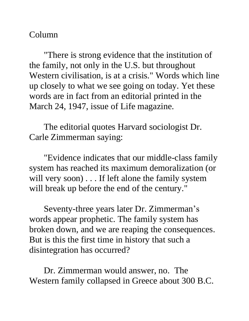## Column

"There is strong evidence that the institution of the family, not only in the U.S. but throughout Western civilisation, is at a crisis." Words which line up closely to what we see going on today. Yet these words are in fact from an editorial printed in the March 24, 1947, issue of Life magazine.

The editorial quotes Harvard sociologist Dr. Carle Zimmerman saying:

"Evidence indicates that our middle-class family system has reached its maximum demoralization (or will very soon) . . . If left alone the family system will break up before the end of the century."

Seventy-three years later Dr. Zimmerman's words appear prophetic. The family system has broken down, and we are reaping the consequences. But is this the first time in history that such a disintegration has occurred?

Dr. Zimmerman would answer, no. The Western family collapsed in Greece about 300 B.C.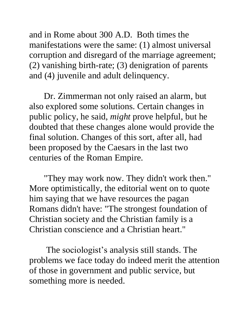and in Rome about 300 A.D. Both times the manifestations were the same: (1) almost universal corruption and disregard of the marriage agreement; (2) vanishing birth-rate; (3) denigration of parents and (4) juvenile and adult delinquency.

Dr. Zimmerman not only raised an alarm, but also explored some solutions. Certain changes in public policy, he said, *might* prove helpful, but he doubted that these changes alone would provide the final solution. Changes of this sort, after all, had been proposed by the Caesars in the last two centuries of the Roman Empire.

"They may work now. They didn't work then." More optimistically, the editorial went on to quote him saying that we have resources the pagan Romans didn't have: "The strongest foundation of Christian society and the Christian family is a Christian conscience and a Christian heart."

The sociologist's analysis still stands. The problems we face today do indeed merit the attention of those in government and public service, but something more is needed.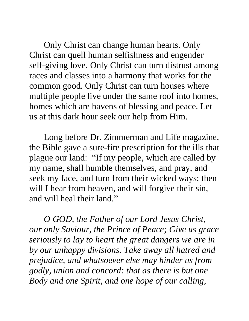Only Christ can change human hearts. Only Christ can quell human selfishness and engender self-giving love. Only Christ can turn distrust among races and classes into a harmony that works for the common good. Only Christ can turn houses where multiple people live under the same roof into homes, homes which are havens of blessing and peace. Let us at this dark hour seek our help from Him.

Long before Dr. Zimmerman and Life magazine, the Bible gave a sure-fire prescription for the ills that plague our land: "If my people, which are called by my name, shall humble themselves, and pray, and seek my face, and turn from their wicked ways; then will I hear from heaven, and will forgive their sin, and will heal their land."

*O GOD, the Father of our Lord Jesus Christ, our only Saviour, the Prince of Peace; Give us grace seriously to lay to heart the great dangers we are in by our unhappy divisions. Take away all hatred and prejudice, and whatsoever else may hinder us from godly, union and concord: that as there is but one Body and one Spirit, and one hope of our calling,*